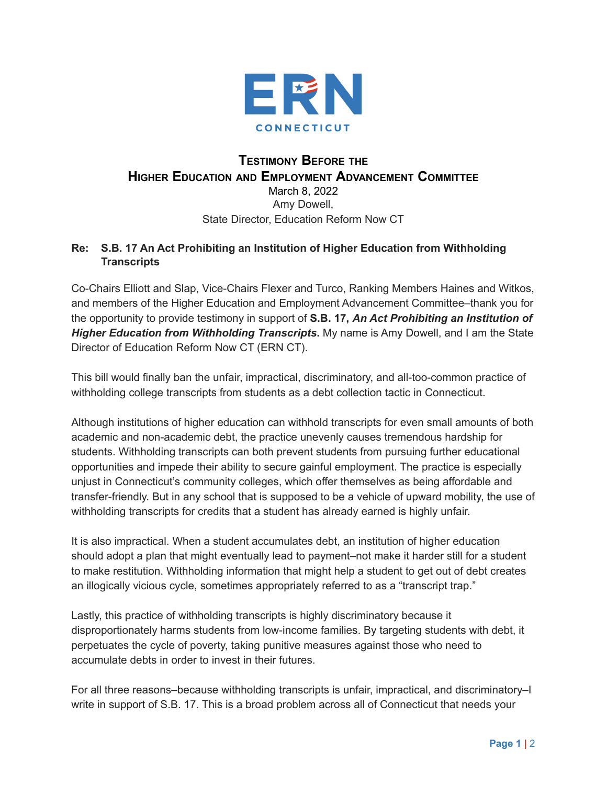

## **TESTIMONY BEFORE THE HIGHER EDUCATION AND EMPLOYMENT ADVANCEMENT COMMITTEE** March 8, 2022 Amy Dowell, State Director, Education Reform Now CT

## **Re: S.B. 17 An Act Prohibiting an Institution of Higher Education from Withholding Transcripts**

Co-Chairs Elliott and Slap, Vice-Chairs Flexer and Turco, Ranking Members Haines and Witkos, and members of the Higher Education and Employment Advancement Committee–thank you for the opportunity to provide testimony in support of **S.B. 17,** *An Act Prohibiting an Institution of Higher Education from Withholding Transcripts***.** My name is Amy Dowell, and I am the State Director of Education Reform Now CT (ERN CT).

This bill would finally ban the unfair, impractical, discriminatory, and all-too-common practice of withholding college transcripts from students as a debt collection tactic in Connecticut.

Although institutions of higher education can withhold transcripts for even small amounts of both academic and non-academic debt, the practice unevenly causes tremendous hardship for students. Withholding transcripts can both prevent students from pursuing further educational opportunities and impede their ability to secure gainful employment. The practice is especially unjust in Connecticut's community colleges, which offer themselves as being affordable and transfer-friendly. But in any school that is supposed to be a vehicle of upward mobility, the use of withholding transcripts for credits that a student has already earned is highly unfair.

It is also impractical. When a student accumulates debt, an institution of higher education should adopt a plan that might eventually lead to payment–not make it harder still for a student to make restitution. Withholding information that might help a student to get out of debt creates an illogically vicious cycle, sometimes appropriately referred to as a "transcript trap."

Lastly, this practice of withholding transcripts is highly discriminatory because it disproportionately harms students from low-income families. By targeting students with debt, it perpetuates the cycle of poverty, taking punitive measures against those who need to accumulate debts in order to invest in their futures.

For all three reasons–because withholding transcripts is unfair, impractical, and discriminatory–I write in support of S.B. 17. This is a broad problem across all of Connecticut that needs your